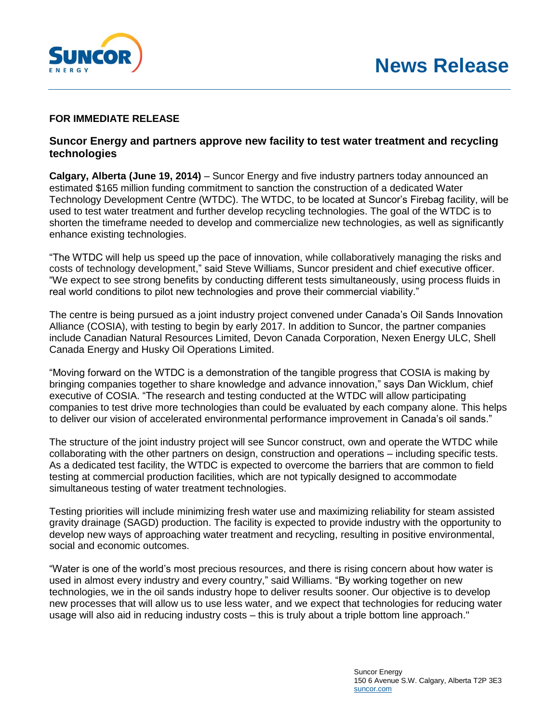

## **FOR IMMEDIATE RELEASE**

## **Suncor Energy and partners approve new facility to test water treatment and recycling technologies**

**Calgary, Alberta (June 19, 2014)** – Suncor Energy and five industry partners today announced an estimated \$165 million funding commitment to sanction the construction of a dedicated Water Technology Development Centre (WTDC). The WTDC, to be located at Suncor's Firebag facility, will be used to test water treatment and further develop recycling technologies. The goal of the WTDC is to shorten the timeframe needed to develop and commercialize new technologies, as well as significantly enhance existing technologies.

"The WTDC will help us speed up the pace of innovation, while collaboratively managing the risks and costs of technology development," said Steve Williams, Suncor president and chief executive officer. "We expect to see strong benefits by conducting different tests simultaneously, using process fluids in real world conditions to pilot new technologies and prove their commercial viability."

The centre is being pursued as a joint industry project convened under Canada's Oil Sands Innovation Alliance (COSIA), with testing to begin by early 2017. In addition to Suncor, the partner companies include Canadian Natural Resources Limited, Devon Canada Corporation, Nexen Energy ULC, Shell Canada Energy and Husky Oil Operations Limited.

"Moving forward on the WTDC is a demonstration of the tangible progress that COSIA is making by bringing companies together to share knowledge and advance innovation," says Dan Wicklum, chief executive of COSIA. "The research and testing conducted at the WTDC will allow participating companies to test drive more technologies than could be evaluated by each company alone. This helps to deliver our vision of accelerated environmental performance improvement in Canada's oil sands."

The structure of the joint industry project will see Suncor construct, own and operate the WTDC while collaborating with the other partners on design, construction and operations – including specific tests. As a dedicated test facility, the WTDC is expected to overcome the barriers that are common to field testing at commercial production facilities, which are not typically designed to accommodate simultaneous testing of water treatment technologies.

Testing priorities will include minimizing fresh water use and maximizing reliability for steam assisted gravity drainage (SAGD) production. The facility is expected to provide industry with the opportunity to develop new ways of approaching water treatment and recycling, resulting in positive environmental, social and economic outcomes.

"Water is one of the world's most precious resources, and there is rising concern about how water is used in almost every industry and every country," said Williams. "By working together on new technologies, we in the oil sands industry hope to deliver results sooner. Our objective is to develop new processes that will allow us to use less water, and we expect that technologies for reducing water usage will also aid in reducing industry costs – this is truly about a triple bottom line approach."